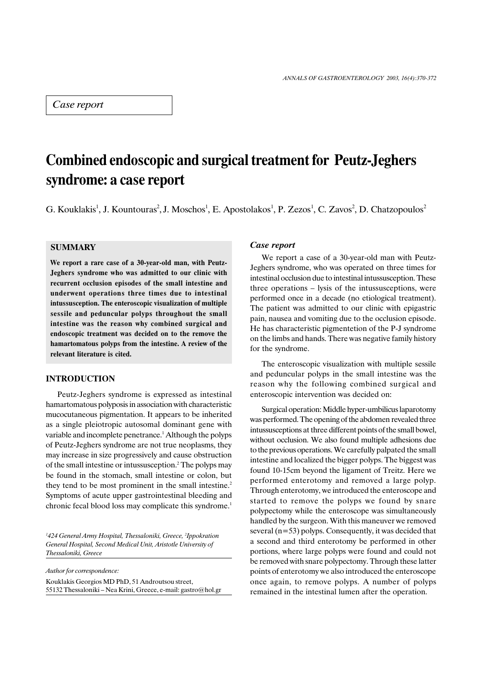## Case report

# Combined endoscopic and surgical treatment for Peutz-Jeghers syndrome: a case report

G. Kouklakis<sup>1</sup>, J. Kountouras<sup>2</sup>, J. Moschos<sup>1</sup>, E. Apostolakos<sup>1</sup>, P. Zezos<sup>1</sup>, C. Zavos<sup>2</sup>, D. Chatzopoulos<sup>2</sup>

### **SUMMARY**

We report a rare case of a 30-year-old man, with Peutz-Jeghers syndrome who was admitted to our clinic with recurrent occlusion episodes of the small intestine and underwent operations three times due to intestinal intussusception. The enteroscopic visualization of multiple sessile and peduncular polyps throughout the small intestine was the reason why combined surgical and endoscopic treatment was decided on to the remove the hamartomatous polyps from the intestine. A review of the relevant literature is cited.

## INTRODUCTION

Peutz-Jeghers syndrome is expressed as intestinal hamartomatous polyposis in association with characteristic mucocutaneous pigmentation. It appears to be inherited as a single pleiotropic autosomal dominant gene with variable and incomplete penetrance.<sup>1</sup> Although the polyps of Peutz-Jeghers syndrome are not true neoplasms, they may increase in size progressively and cause obstruction of the small intestine or intussusception.<sup>2</sup> The polyps may be found in the stomach, small intestine or colon, but they tend to be most prominent in the small intestine.<sup>2</sup> Symptoms of acute upper gastrointestinal bleeding and chronic fecal blood loss may complicate this syndrome.<sup>1</sup>

<sup>1</sup>424 General Army Hospital, Thessaloniki, Greece, <sup>2</sup>Ippokration General Hospital, Second Medical Unit, Aristotle University of Thessaloniki, Greece

Author for correspondence:

Kouklakis Georgios MD PhD, 51 Androutsou street, 55132 Thessaloniki - Nea Krini, Greece, e-mail: gastro@hol.gr

#### Case report

We report a case of a 30-year-old man with Peutz-Jeghers syndrome, who was operated on three times for intestinal occlusion due to intestinal intussusception. These three operations  $-$  lysis of the intussusceptions, were performed once in a decade (no etiological treatment). The patient was admitted to our clinic with epigastric pain, nausea and vomiting due to the occlusion episode. He has characteristic pigmentetion of the P-J syndrome on the limbs and hands. There was negative family history for the syndrome.

The enteroscopic visualization with multiple sessile and peduncular polyps in the small intestine was the reason why the following combined surgical and enteroscopic intervention was decided on:

Surgical operation: Middle hyper-umbilicus laparotomy was performed. The opening of the abdomen revealed three intussusceptions at three different points of the small bowel, without occlusion. We also found multiple adhesions due to the previous operations. We carefully palpated the small intestine and localized the bigger polyps. The biggest was found 10-15cm beyond the ligament of Treitz. Here we performed enterotomy and removed a large polyp. Through enterotomy, we introduced the enteroscope and started to remove the polyps we found by snare polypectomy while the enteroscope was simultaneously handled by the surgeon. With this maneuver we removed several (n=53) polyps. Consequently, it was decided that a second and third enterotomy be performed in other portions, where large polyps were found and could not be removed with snare polypectomy. Through these latter points of enterotomy we also introduced the enteroscope once again, to remove polyps. A number of polyps remained in the intestinal lumen after the operation.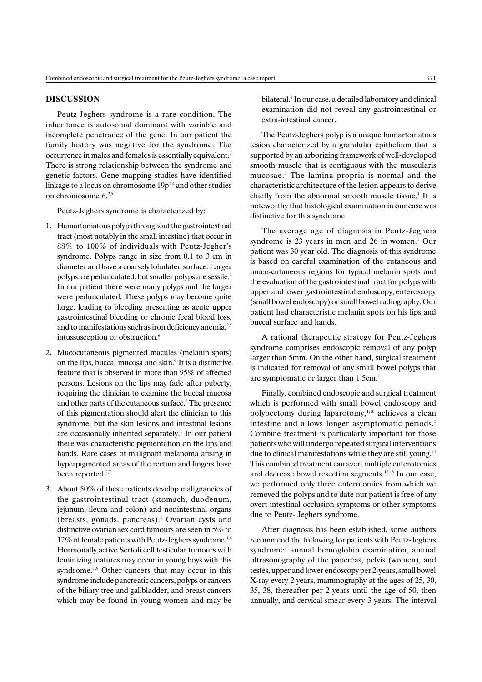#### DISCUSSION

Peutz-Jeghers syndrome is a rare condition. The inheritance is autosomal dominant with variable and incomplete penetrance of the gene. In our patient the family history was negative for the syndrome. The occurrence in males and females is essentially equivalent.<sup>3</sup> There is strong relationship between the syndrome and genetic factors. Gene mapping studies have identified linkage to a locus on chromosome  $19p^{2,4}$  and other studies on chromosome  $6.25$ 

Peutz-Jeghers syndrome is characterized by:

- 1. Hamartomatous polyps throughout the gastrointestinal tract (most notably in the small intestine) that occur in 88% to 100% of individuals with Peutz-Jegher's syndrome. Polyps range in size from 0.1 to 3 cm in diameter and have a coarsely lobulated surface. Larger polyps are pedunculated, but smaller polyps are sessile.2 In our patient there were many polyps and the larger were pedunculated. These polyps may become quite large, leading to bleeding presenting as acute upper gastrointestinal bleeding or chronic fecal blood loss, and to manifestations such as iron deficiency anemia,  $25$ intussusception or obstruction.6
- 2. Mucocutaneous pigmented macules (melanin spots) on the lips, buccal mucosa and skin.6 It is a distinctive feature that is observed in more than 95% of affected persons. Lesions on the lips may fade after puberty, requiring the clinician to examine the buccal mucosa and other parts of the cutaneous surface.<sup>3</sup> The presence of this pigmentation should alert the clinician to this syndrome, but the skin lesions and intestinal lesions are occasionally inherited separately.<sup>1</sup> In our patient there was characteristic pigmentation on the lips and hands. Rare cases of malignant melanoma arising in hyperpigmented areas of the rectum and fingers have been reported.<sup>2,7</sup>
- 3. About 50% of these patients develop malignancies of the gastrointestinal tract (stomach, duodenum, jejunum, ileum and colon) and nonintestinal organs (breasts, gonads, pancreas).<sup>6</sup> Ovarian cysts and distinctive ovarian sex cord tumours are seen in 5% to  $12\%$  of female patients with Peutz-Jeghers syndrome.<sup>1,8</sup> Hormonally active Sertoli cell testicular tumours with feminizing features may occur in young boys with this syndrome.<sup>1,9</sup> Other cancers that may occur in this syndrome include pancreatic cancers, polyps or cancers of the biliary tree and gallbladder, and breast cancers which may be found in young women and may be

bilateral.<sup>1</sup> In our case, a detailed laboratory and clinical examination did not reveal any gastrointestinal or extra-intestinal cancer.

The Peutz-Jeghers polyp is a unique hamartomatous lesion characterized by a grandular epithelium that is supported by an arborizing framework of well-developed smooth muscle that is contiguous with the muscularis mucosae.1 The lamina propria is normal and the characteristic architecture of the lesion appears to derive chiefly from the abnormal smooth muscle tissue.<sup>1</sup> It is noteworthy that histological examination in our case was distinctive for this syndrome.

The average age of diagnosis in Peutz-Jeghers syndrome is  $23$  years in men and  $26$  in women.<sup>1</sup> Our patient was 30 year old. The diagnosis of this syndrome is based on careful examination of the cutaneous and muco-cutaneous regions for typical melanin spots and the evaluation of the gastrointestinal tract for polyps with upper and lower gastrointestinal endoscopy, enteroscopy (small bowel endoscopy) or small bowel radiography. Our patient had characteristic melanin spots on his lips and buccal surface and hands.

A rational therapeutic strategy for Peutz-Jeghers syndrome comprises endoscopic removal of any polyp larger than 5mm. On the other hand, surgical treatment is indicated for removal of any small bowel polyps that are symptomatic or larger than 1.5cm.<sup>1</sup>

Finally, combined endoscopic and surgical treatment which is performed with small bowel endoscopy and polypectomy during laparotomy,<sup>1,10</sup> achieves a clean intestine and allows longer asymptomatic periods.<sup>1</sup> Combine treatment is particularly important for those patients who will undergo repeated surgical interventions due to clinical manifestations while they are still young.<sup>11</sup> This combined treatment can avert multiple enterotomies and decrease bowel resection segments.<sup>12,13</sup> In our case, we performed only three enterotomies from which we removed the polyps and to date our patient is free of any overt intestinal occlusion symptoms or other symptoms due to Peutz- Jeghers syndrome.

After diagnosis has been established, some authors recommend the following for patients with Peutz-Jeghers syndrome: annual hemoglobin examination, annual ultrasonography of the pancreas, pelvis (women), and testes, upper and lower endoscopy per 2-years, small bowel X-ray every 2 years, mammography at the ages of 25, 30, 35, 38, thereafter per 2 years until the age of 50, then annually, and cervical smear every 3 years. The interval